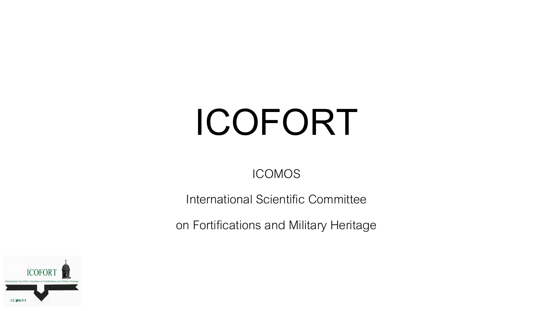# **ICOFORT**

## ICOMOS

International Scientific Committee

on Fortifications and Military Heritage

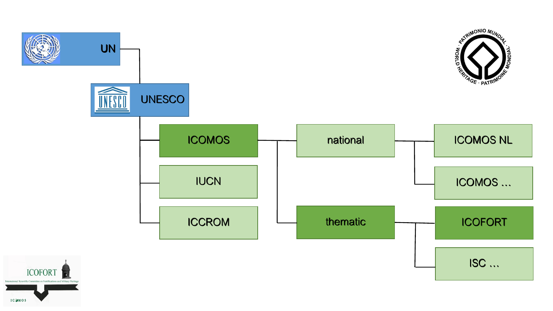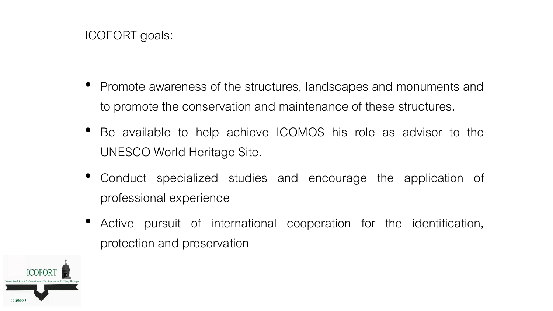### ICOFORT goals:

- Promote awareness of the structures, landscapes and monuments and to promote the conservation and maintenance of these structures.
- Be available to help achieve ICOMOS his role as advisor to the UNESCO World Heritage Site.
- Conduct specialized studies and encourage the application of professional experience
- Active pursuit of international cooperation for the identification, protection and preservation

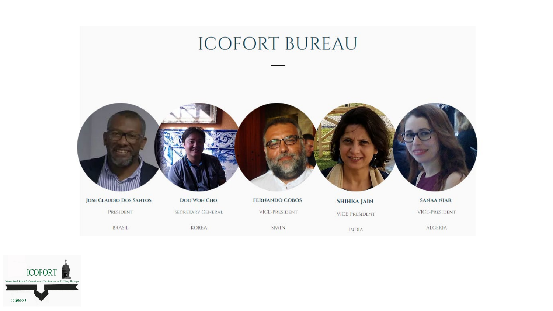

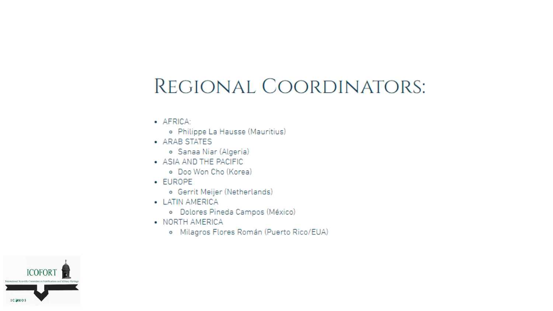## REGIONAL COORDINATORS:

- · AFRICA:
	- · Philippe La Hausse (Mauritius)
- ARAB STATES
	- · Sanaa Niar (Algeria)
- ASIA AND THE PACIFIC
	- · Doo Won Cho (Korea)
- · EUROPE
	- · Gerrit Meijer (Netherlands)
- LATIN AMERICA
	- · Dolores Pineda Campos (México)
- NORTH AMERICA
	- o Milagros Flores Román (Puerto Rico/EUA)

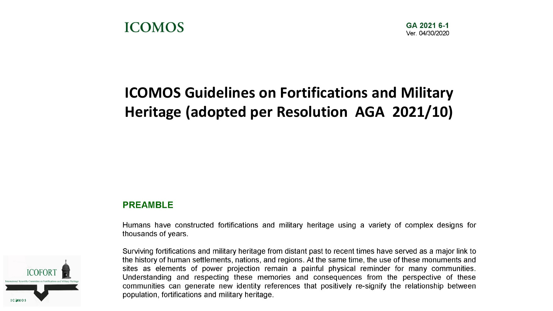## **ICOMOS Guidelines on Fortifications and Military** Heritage (adopted per Resolution AGA 2021/10)

#### **PREAMBLE**

Humans have constructed fortifications and military heritage using a variety of complex designs for thousands of years.



Surviving fortifications and military heritage from distant past to recent times have served as a major link to the history of human settlements, nations, and regions. At the same time, the use of these monuments and sites as elements of power projection remain a painful physical reminder for many communities. Understanding and respecting these memories and consequences from the perspective of these communities can generate new identity references that positively re-signify the relationship between population, fortifications and military heritage.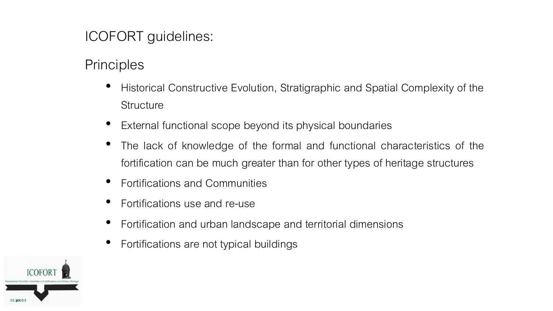## ICOFORT guidelines:

## **Principles**

- Historical Constructive Evolution, Stratigraphic and Spatial Complexity of the **Structure**
- External functional scope beyond its physical boundaries
- The lack of knowledge of the formal and functional characteristics of the fortification can be much greater than for other types of heritage structures
- Fortifications and Communities
- Fortifications use and re-use
- Fortification and urban landscape and territorial dimensions
- Fortifications are not typical buildings

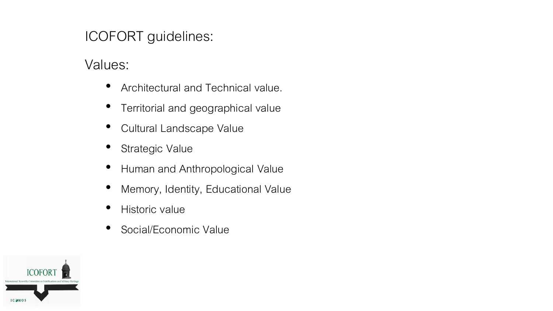## ICOFORT guidelines:

Values:

- Architectural and Technical value.
- Territorial and geographical value
- Cultural Landscape Value
- Strategic Value
- Human and Anthropological Value
- Memory, Identity, Educational Value
- Historic value
- Social/Economic Value

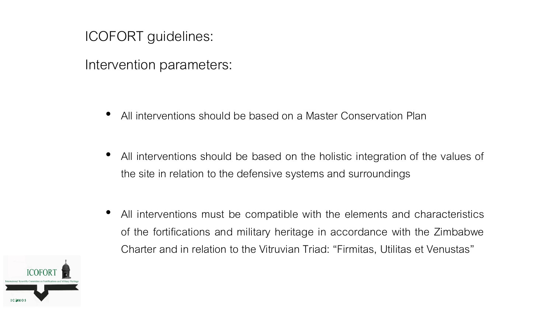ICOFORT guidelines:

Intervention parameters:

- All interventions should be based on a Master Conservation Plan
- All interventions should be based on the holistic integration of the values of the site in relation to the defensive systems and surroundings
- All interventions must be compatible with the elements and characteristics of the fortifications and military heritage in accordance with the Zimbabwe Charter and in relation to the Vitruvian Triad: "Firmitas, Utilitas et Venustas"

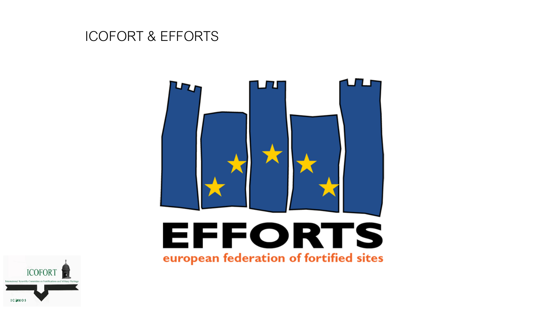## ICOFORT & EFFORTS



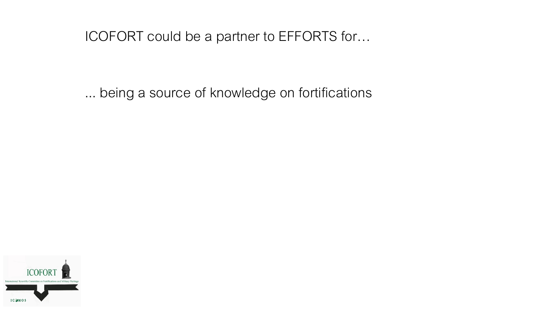... being a source of knowledge on fortifications

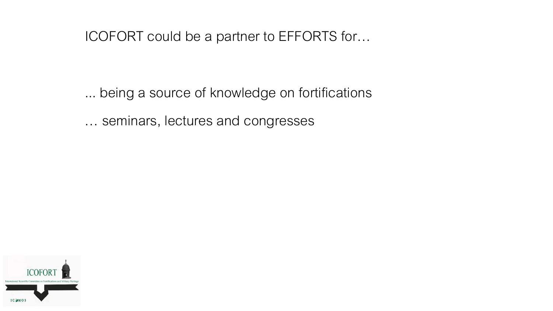- ... being a source of knowledge on fortifications
- ... seminars, lectures and congresses

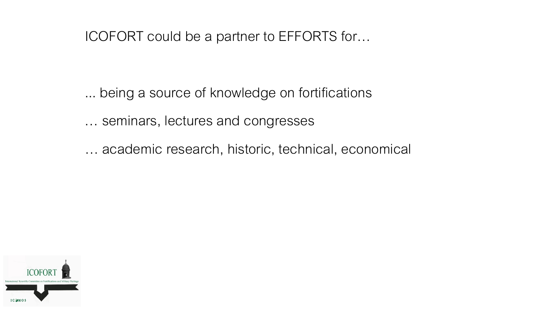- ... being a source of knowledge on fortifications
- ... seminars, lectures and congresses
- ... academic research, historic, technical, economical

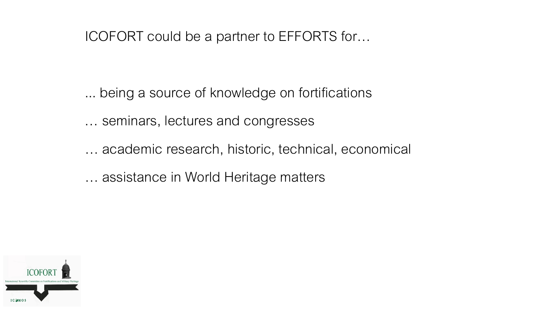- ... being a source of knowledge on fortifications
- ... seminars, lectures and congresses
- ... academic research, historic, technical, economical
- ... assistance in World Heritage matters

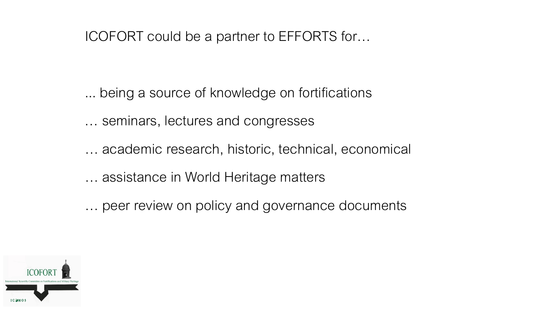- ... being a source of knowledge on fortifications
- ... seminars, lectures and congresses
- ... academic research, historic, technical, economical
- ... assistance in World Heritage matters
- ... peer review on policy and governance documents